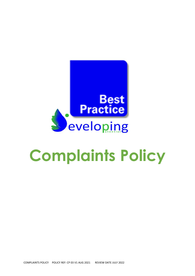

# **Complaints Policy**

COMPLAINTS POLICY POLICY REF: CP 03 V1 AUG 2021 REVIEW DATE JULY 2022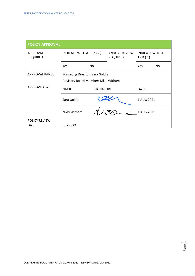| <b>POLICY APPROVAL</b>       |                                                                       |     |                                         |                                               |    |  |  |
|------------------------------|-----------------------------------------------------------------------|-----|-----------------------------------------|-----------------------------------------------|----|--|--|
| APPROVAL<br><b>REQUIRED</b>  | INDICATE WITH A TICK $(\checkmark)$                                   |     | <b>ANNUAL REVIEW</b><br><b>REQUIRED</b> | <b>INDICATE WITH A</b><br>TICK $(\checkmark)$ |    |  |  |
|                              | Yes                                                                   | No. |                                         | Yes                                           | No |  |  |
| <b>APPROVAL PANEL</b>        | Managing Director: Sara Goldie<br>Advisory Board Member: Nikki Witham |     |                                         |                                               |    |  |  |
| <b>APPROVED BY:</b>          | <b>SIGNATURE</b><br><b>NAME</b>                                       |     |                                         | DATE:                                         |    |  |  |
|                              | Sara Goldie                                                           |     |                                         | 1 AUG 2021                                    |    |  |  |
|                              | Nikki Witham                                                          |     |                                         | 1 AUG 2021                                    |    |  |  |
| POLICY REVIEW<br><b>DATE</b> | <b>July 2022</b>                                                      |     |                                         |                                               |    |  |  |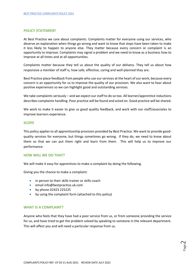#### **POLICY STATEMENT**

At Best Practice we care about complaints. Complaints matter for everyone using our services, who deserve an explanation when things go wrong and want to know that steps have been taken to make it less likely to happen to anyone else. They matter because every concern or complaint is an opportunity to improve. Complaints may signal a problem and we need to know as a business how to improve at all times and at all opportunities.

Complaints matter because they tell us about the quality of our delivery. They tell us about how responsive a member of staff is, how safe, effective, caring and well-planned they are.

Best Practice place feedback from people who use our services at the heart of our work, because every concern is an opportunity for us to improve the quality of our provision. We also want to hear about positive experiences so we can highlight good and outstanding services.

We take complaints seriously – and we expect our staff to do so too. All learner/apprentice inductions describes complaints handling. Poor practice will be found and acted on. Good practice will be shared.

We work to make it easier to give us good quality feedback, and work with our staff/associates to improve learners experience.

#### **SCOPE**

This policy applies to all apprenticeship provision provided by Best Practice. We want to provide goodquality services for everyone, but things sometimes go wrong. If they do, we need to know about them so that we can put them right and learn from them. This will help us to improve our performance.

#### **HOW WILL WE DO THAT?**

We will make it easy for apprentices to make a complaint by doing the following.

Giving you the chance to make a complaint:

- in person to their skills trainer or skills coach
- email info@bestpractice.uk.com
- by phone 01923 225225
- by using the complaint form (attached to this policy)

## **WHAT IS A COMPLAINT?**

Anyone who feels that they have had a poor service from us, or from someone providing the service for us, and have tried to get the problem solved by speaking to someone in the relevant department. This will affect you and will need a particular response from us.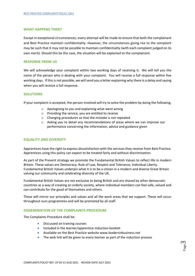## **WHAT HAPPENS THEN?**

Except in exceptional circumstances, every attempt will be made to ensure that both the complainant and Best Practice maintain confidentiality. However, the circumstances giving rise to the complaint may be such that it may not be possible to maintain confidentiality (with each complaint judged on its own merit). Should this be the case, the situation will be explained to the complainant.

#### **RESPONSE FROM US**

We will acknowledge your complaint within two working days of receiving it. We will tell you the name of the person who is dealing with your complaint. You will receive a full response within five working days. If this is not possible, we will send you a letter explaining why there is a delay and saying when you will receive a full response.

#### **SOLUTIONS**

If your complaint is accepted, the person involved will try to solve the problem by doing the following.

- o Apologising to you and explaining what went wrong
- o Providing the service, you are entitled to receive
- o Changing procedures so that the mistake is not repeated
- o Asking you to detail any recommendations of areas where we can improve our performance concerning the information, advice and guidance given

## **EQUALITY AND DIVERSITY**

Apprentices have the right to express dissatisfaction with the services they receive from Best Practice. Apprentices using this policy can expect to be treated fairly and without discrimination.

As part of the Prevent strategy we promote the Fundamental British Values to reflect life in modern Britain. These values are Democracy, Rule of Law, Respect and Tolerance, Individual Liberty. Fundamental British Values underpin what it is to be a citizen in a modern and diverse Great Britain valuing our community and celebrating diversity of the UK.

Fundamental British Values are not exclusive to being British and are shared by other democratic countries as a way of creating an orderly society, where individual members can feel safe, valued and can contribute for the good of themselves and others.

These will mirror our principles and values and all the work areas that we support. These will occur throughout ours programmes and will be promoted by all staff.

## **DISSEMINATION OF THE COMPLAINTS PROCEDURE**

The Complaints Procedure shall be:

- Discussed on training courses
- Included in the learner/apprentice induction booklet
- Available on the Best Practice website www.leadersinbusiness.net
- The web link will be given to every learner as part of the induction process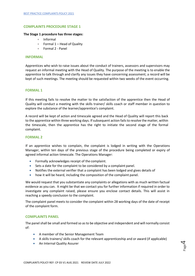# **COMPLAINTS PROCEDURE STAGE 1**

#### **The Stage 1 procedure has three stages:**

- Informal
- Formal 1 Head of Quality
- Formal 2 Panel

#### **INFORMAL**

Apprentices who wish to raise issues about the conduct of trainers, assessors and supervisors may request an informal meeting with the Head of Quality. The purpose of the meeting is to enable the apprentice to talk through and clarify any issues they have concerning assessment; a record will be kept of such meetings. The meeting should be requested within two weeks of the event occurring.

## **FORMAL 1**

If this meeting fails to resolve the matter to the satisfaction of the apprentice then the Head of Quality will conduct a meeting with the skills trainer/ skills coach or staff member in question to explore the substance of the learner/apprentice's complaint.

A record will be kept of action and timescale agreed and the Head of Quality will report this back to the apprentice within three working days. If subsequent action fails to resolve the matter, within the timescale, then the apprentice has the right to initiate the second stage of the formal complaint.

#### **FORMAL 2**

If an apprentice wishes to complain, the complaint is lodged in writing with the Operations Manager, within ten days of the previous stage of the procedure being completed or expiry of agreed informal action timescale. The Operations Manager:

- Formally acknowledges receipt of the complaint.
- Sets a date for the complaint to be considered by a complaint panel.
- Notifies the external verifier that a complaint has been lodged and gives details of
- how it will be heard, including the composition of the complaint panel.

We would request that you substantiate any complaints or allegations with as much written factual evidence as you can. It might be that we contact you for further information if required in order to investigate any complaint raised, please ensure you enclose contact details. This will assist in reaching a speedy conclusion to the complaint.

The complaint panel meets to consider the complaint within 28 working days of the date of receipt of the complaint form.

#### **COMPLAINTS PANEL**

The panel shall be small and formed so as to be objective and independent and will normally consist of:

- A member of the Senior Management Team
- A skills trainers/ skills coach for the relevant apprenticeship and or award (if applicable)

Page 4

• An Internal Quality Assurer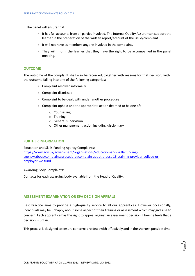The panel will ensure that:

- It has full accounts from all parties involved. The Internal Quality Assurer can support the learner in the preparation of the written report/account of the issue/complaint.
- It will not have as members anyone involved in the complaint.
- They will inform the learner that they have the right to be accompanied in the panel meeting.

# **OUTCOME**

The outcome of the complaint shall also be recorded, together with reasons for that decision, with the outcome falling into one of the following categories:

- Complaint resolved informally.
- Complaint dismissed
- Complaint to be dealt with under another procedure
- Complaint upheld and the appropriate action deemed to be one of:
	- o Counselling
	- o Training
	- o General supervision
	- o Other management action including disciplinary

## **FURTHER INFORMATION**

Education and Skills Funding Agency Complaints: [https://www.gov.uk/government/organisations/education-and-skills-funding](https://www.gov.uk/government/organisations/education-and-skills-funding-agency/about/complaintsprocedure#complain-about-a-post-16-training-provider-college-or-employer-we-fund)[agency/about/complaintsprocedure#complain-about-a-post-16-training-provider-college-or](https://www.gov.uk/government/organisations/education-and-skills-funding-agency/about/complaintsprocedure#complain-about-a-post-16-training-provider-college-or-employer-we-fund)[employer-we-fund](https://www.gov.uk/government/organisations/education-and-skills-funding-agency/about/complaintsprocedure#complain-about-a-post-16-training-provider-college-or-employer-we-fund)

#### Awarding Body Complaints:

Contacts for each awarding body available from the Head of Quality.

## **ASSESSMENT EXAMINATION OR EPA DECISION APPEALS**

Best Practice aims to provide a high-quality service to all our apprentices. However occasionally, individuals may be unhappy about some aspect of their training or assessment which may give rise to concern. Each apprentice has the right to appeal against an assessment decision if he/she feels that a decision is unfair.

This process is designed to ensure concerns are dealt with effectively and in the shortest possible time.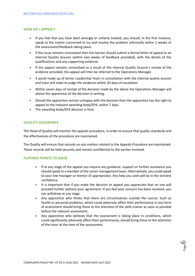# **HOW DO I APPEAL?**

- If you feel that you have been wrongly or unfairly treated, you should, in the first instance, speak to the trainer concerned to try and resolve the problem informally within 2 weeks of the assessment/feedback taking place.
- If the issue remains unresolved then the learner should submit a formal letter of appeal to an Internal Quality Assurer (within two weeks of feedback provided), with the details of the qualifications and any supporting evidence.
- If the appeal remains unresolved as a result of the internal Quality Assurer's review of the evidence provided, the appeal will then be referred to the Operations Manager.
- A panel made up of Senior Leadership Team in consultation with the internal quality assuror and tutor will meet to judge the evidence within 30 days of escalation.
- Within seven days of receipt of the decision made by the above the Operations Manager will advise the apprentice of the decision in writing.
- Should the apprentice remain unhappy with the decision then the apprentice has the right to appeal to the relevant awarding body/EPA, within 7 days.
- The awarding body/EPA decision is final.

# **QUALITY ASSURANCE**

The Head of Quality will monitor the appeals procedure, in order to ensure that quality standards and the effectiveness of the procedure are maintained.

The Quality will ensure that records on any matters related to the Appeals Procedure are maintained. These records will be held securely and remain confidential to the parties involved.

## **FURTHER POINTS TO RAISE**

- If at any stage of the appeal you require any guidance, support or further assistance you should speak to a member of the senior management team. Alternatively, you could speak to your line manager or mentor (if appropriate). Any help you seek will be in the strictest confidence.
- It is important that if you make the decision to appeal you appreciate that no one will proceed further without your agreement. If you feel your concern has been resolved, you can withdraw at any stage.
- Any apprentice who thinks that there are circumstances outside the course. Such as health or personal problems, which could adversely affect their performance in any form of assessment should bring these to the attention of the skills trainer as soon as possible before the relevant assessment.
- Any apprentice who believes that the assessment is taking place in conditions, which could significantly adversely affect their performance, should bring these to the attention of the tutor at the time of the assessment.